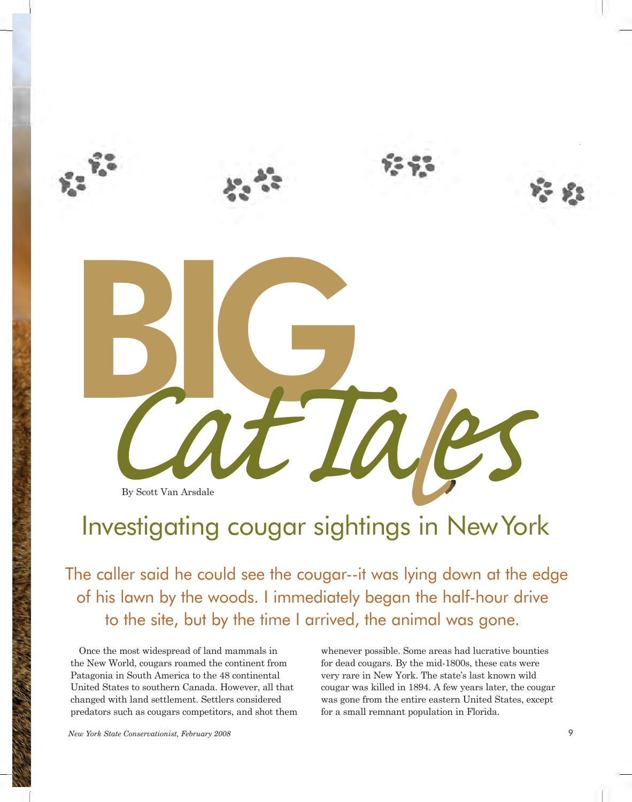

# Investigating cougar sightings in NewYork

 The caller said he could see the cougar--it was lying down at the edge of his lawn by the woods. I immediately began the half-hour drive to the site, but by the time I arrived, the animal was gone.

Once the most widespread of land mammals in the New World, cougars roamed the continent from for dead cougars. By the mid-1800s, these cats were Patagonia in South America to the 48 continental United States to southern Canada. However, all that changed with land settlement. Settlers considered predators such as cougars competitors, and shot them for a small remnant population in Florida. Once the most widespread of land mammals in whenever possible. Some areas had lucrative bounties Patagonia in South America to the 48 continental very rare in New York. The state's last known wild

for dead cougars. By the mid-1800s, these cats were United States to southern Canada. However, all that cougar was killed in 1894. A few years later, the cougar changed with land settlement. Settlers considered was gone from the entire eastern United States, except for a small remnant population in Florida.

*New York State Conservationist, February 2008* 9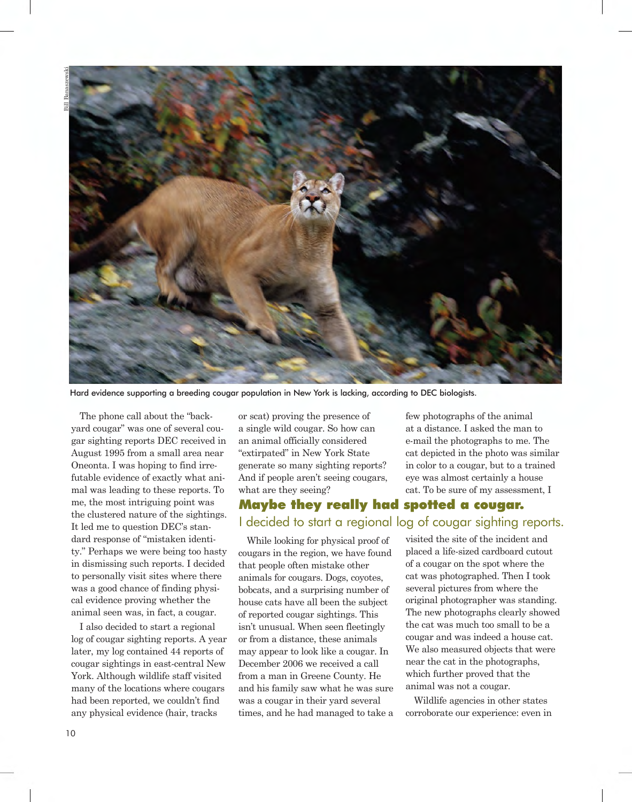

Hard evidence supporting a breeding cougar population in New York is lacking, according to DEC biologists.

 The phone call about the "back- yard cougar" was one of several cou- gar sighting reports DEC received in August 1995 from a small area near Oneonta. I was hoping to find irre- futable evidence of exactly what ani- mal was leading to these reports. To me, the most intriguing point was the clustered nature of the sightings. It led me to question DEC's stan- dard response of "mistaken identi- ty." Perhaps we were being too hasty in dismissing such reports. I decided to personally visit sites where there was a good chance of finding physi- cal evidence proving whether the animal seen was, in fact, a cougar.

 I also decided to start a regional log of cougar sighting reports. A year later, my log contained 44 reports of cougar sightings in east-central New York. Although wildlife staff visited many of the locations where cougars had been reported, we couldn't find any physical evidence (hair, tracks

 or scat) proving the presence of a single wild cougar. So how can an animal officially considered "extirpated" in New York State generate so many sighting reports? And if people aren't seeing cougars, what are they seeing?

## Maybe they really had spotted a cougar. I decided to start a regional log of cougar sighting reports.

 While looking for physical proof of cougars in the region, we have found that people often mistake other animals for cougars. Dogs, coyotes, bobcats, and a surprising number of house cats have all been the subject of reported cougar sightings. This isn't unusual. When seen fleetingly or from a distance, these animals may appear to look like a cougar. In December 2006 we received a call from a man in Greene County. He and his family saw what he was sure was a cougar in their yard several times, and he had managed to take a  few photographs of the animal at a distance. I asked the man to e-mail the photographs to me. The cat depicted in the photo was similar in color to a cougar, but to a trained eye was almost certainly a house cat. To be sure of my assessment, I

 visited the site of the incident and placed a life-sized cardboard cutout of a cougar on the spot where the cat was photographed. Then I took several pictures from where the original photographer was standing. The new photographs clearly showed the cat was much too small to be a cougar and was indeed a house cat. We also measured objects that were near the cat in the photographs, which further proved that the animal was not a cougar.

 Wildlife agencies in other states corroborate our experience: even in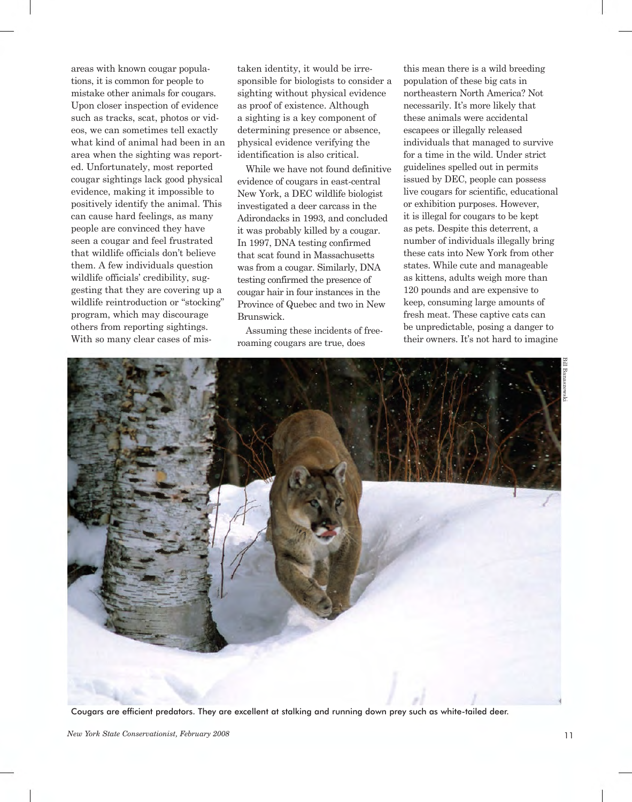areas with known cougar popula- tions, it is common for people to mistake other animals for cougars. Upon closer inspection of evidence such as tracks, scat, photos or vid- eos, we can sometimes tell exactly what kind of animal had been in an area when the sighting was report- ed. Unfortunately, most reported cougar sightings lack good physical evidence, making it impossible to positively identify the animal. This can cause hard feelings, as many people are convinced they have seen a cougar and feel frustrated that wildlife officials don't believe them. A few individuals question wildlife officials' credibility, sug- gesting that they are covering up a wildlife reintroduction or "stocking" program, which may discourage others from reporting sightings. With so many clear cases of mis taken identity, it would be irre- sponsible for biologists to consider a sighting without physical evidence as proof of existence. Although a sighting is a key component of determining presence or absence, physical evidence verifying the identification is also critical.

 While we have not found definitive evidence of cougars in east-central New York, a DEC wildlife biologist investigated a deer carcass in the Adirondacks in 1993, and concluded it was probably killed by a cougar. In 1997, DNA testing confirmed that scat found in Massachusetts was from a cougar. Similarly, DNA testing confirmed the presence of cougar hair in four instances in the Province of Quebec and two in New Brunswick.

 Assuming these incidents of free-roaming cougars are true, does

 this mean there is a wild breeding population of these big cats in northeastern North America? Not necessarily. It's more likely that these animals were accidental escapees or illegally released individuals that managed to survive for a time in the wild. Under strict guidelines spelled out in permits issued by DEC, people can possess live cougars for scientific, educational or exhibition purposes. However, it is illegal for cougars to be kept as pets. Despite this deterrent, a number of individuals illegally bring these cats into New York from other states. While cute and manageable as kittens, adults weigh more than 120 pounds and are expensive to keep, consuming large amounts of fresh meat. These captive cats can be unpredictable, posing a danger to their owners. It's not hard to imagine



Cougars are efficient predators. They are excellent at stalking and running down prey such as white-tailed deer.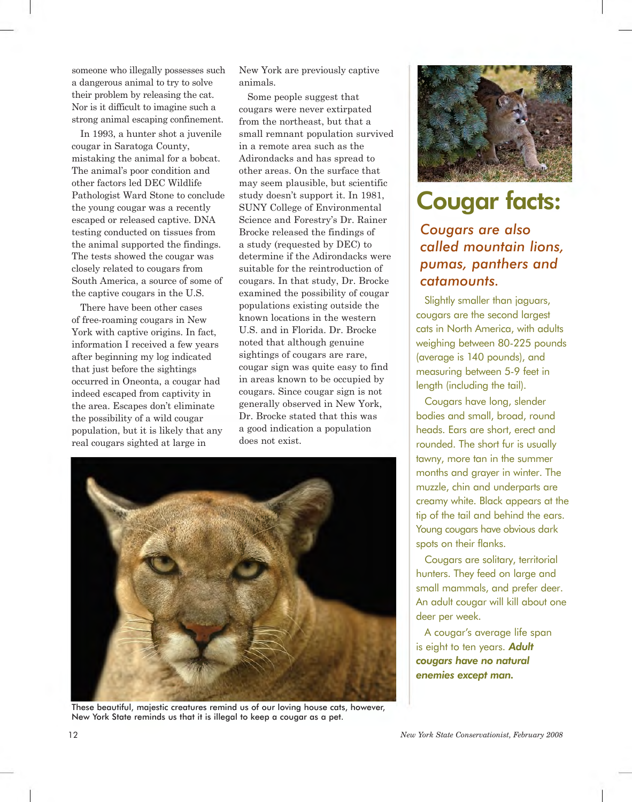someone who illegally possesses such a dangerous animal to try to solve their problem by releasing the cat. Nor is it difficult to imagine such a strong animal escaping confinement.

 In 1993, a hunter shot a juvenile cougar in Saratoga County, mistaking the animal for a bobcat. The animal's poor condition and other factors led DEC Wildlife Pathologist Ward Stone to conclude the young cougar was a recently escaped or released captive. DNA testing conducted on tissues from the animal supported the findings. The tests showed the cougar was closely related to cougars from South America, a source of some of the captive cougars in the U.S.

 There have been other cases of free-roaming cougars in New York with captive origins. In fact, information I received a few years after beginning my log indicated that just before the sightings occurred in Oneonta, a cougar had indeed escaped from captivity in the area. Escapes don't eliminate the possibility of a wild cougar population, but it is likely that any real cougars sighted at large in

 New York are previously captive animals.

Some people suggest that cougars were never extirpated from the northeast, but that a small remnant population survived in a remote area such as the Adirondacks and has spread to other areas. On the surface that may seem plausible, but scientific study doesn't support it. In 1981, SUNY College of Environmental Science and Forestry's Dr. Rainer Brocke released the findings of a study (requested by DEC) to determine if the Adirondacks were suitable for the reintroduction of cougars. In that study, Dr. Brocke examined the possibility of cougar populations existing outside the known locations in the western U.S. and in Florida. Dr. Brocke noted that although genuine sightings of cougars are rare, cougar sign was quite easy to find in areas known to be occupied by cougars. Since cougar sign is not generally observed in New York, Dr. Brocke stated that this was a good indication a population does not exist.



These beautiful, majestic creatures remind us of our loving house cats, however, New York State reminds us that it is illegal to keep a cougar as a pet.



## **Cougar facts:**

## *Cougars are also called mountain lions, pumas, panthers and catamounts.*

 Slightly smaller than jaguars, cougars are the second largest cats in North America, with adults weighing between 80-225 pounds (average is 140 pounds), and measuring between 5-9 feet in length (including the tail).

 Cougars have long, slender bodies and small, broad, round heads. Ears are short, erect and rounded. The short fur is usually tawny, more tan in the summer months and grayer in winter. The muzzle, chin and underparts are creamy white. Black appears at the tip of the tail and behind the ears. Young cougars have obvious dark spots on their flanks.

 Cougars are solitary, territorial hunters. They feed on large and small mammals, and prefer deer. An adult cougar will kill about one deer per week.

 A cougar's average life span is eight to ten years. *Adult cougars have no natural enemies except man.*